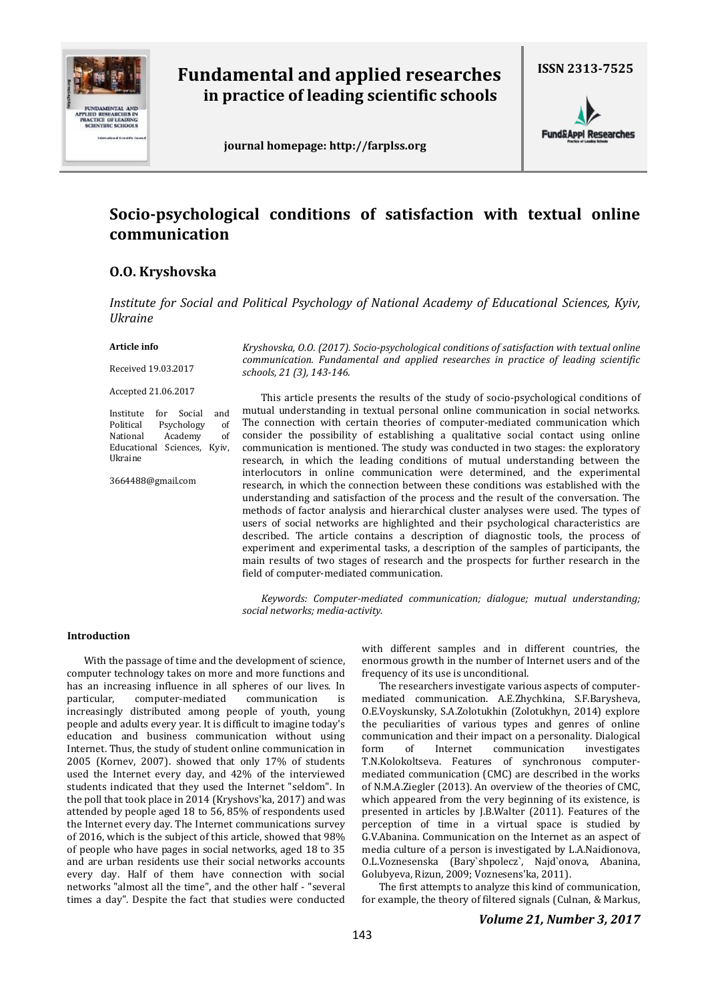

# **Fundamental and applied researches in practice of leading scientific schools**

**ISSN 2313-7525**

 **journal homepage: http://farplss.org**



# **Socio-psychological conditions of satisfaction with textual online communication**

# **O.O. Kryshovska**

*Institute for Social and Political Psychology of National Academy of Educational Sciences, Kyiv, Ukraine* 

### **Article info**

Received 19.03.2017

Accepted 21.06.2017

Institute for Social and Political Psychology of National Academy of Educational Sciences, Kyiv, Ukraine

3664488@gmail.com

*Kryshovska, O.O. (2017). Socio-psychological conditions of satisfaction with textual online communication. Fundamental and applied researches in practice of leading scientific schools, 21 (3), 143-146.* 

This article presents the results of the study of socio-psychological conditions of mutual understanding in textual personal online communication in social networks. The connection with certain theories of computer-mediated communication which consider the possibility of establishing a qualitative social contact using online communication is mentioned. The study was conducted in two stages: the exploratory research, in which the leading conditions of mutual understanding between the interlocutors in online communication were determined, and the experimental research, in which the connection between these conditions was established with the understanding and satisfaction of the process and the result of the conversation. The methods of factor analysis and hierarchical cluster analyses were used. The types of users of social networks are highlighted and their psychological characteristics are described. The article contains a description of diagnostic tools, the process of experiment and experimental tasks, a description of the samples of participants, the main results of two stages of research and the prospects for further research in the field of computer-mediated communication.

*Keywords: Computer-mediated communication; dialogue; mutual understanding; social networks; media-activity.*

### **Introduction**

With the passage of time and the development of science, computer technology takes on more and more functions and has an increasing influence in all spheres of our lives. In particular, computer-mediated communication is increasingly distributed among people of youth, young people and adults every year. It is difficult to imagine today's education and business communication without using Internet. Thus, the study of student online communication in 2005 (Kornev, 2007). showed that only 17% of students used the Internet every day, and 42% of the interviewed students indicated that they used the Internet "seldom". In the poll that took place in 2014 (Kryshovs'ka, 2017) and was attended by people aged 18 to 56, 85% of respondents used the Internet every day. The Internet communications survey of 2016, which is the subject of this article, showed that 98% of people who have pages in social networks, aged 18 to 35 and are urban residents use their social networks accounts every day. Half of them have connection with social networks "almost all the time", and the other half - "several times a day". Despite the fact that studies were conducted

with different samples and in different countries, the enormous growth in the number of Internet users and of the frequency of its use is unconditional.

The researchers investigate various aspects of computermediated communication. A.E.Zhychkina, S.F.Barysheva, O.E.Voyskunsky, S.A.Zolotukhin (Zolotukhyn, 2014) explore the peculiarities of various types and genres of online communication and their impact on а personality. Dialogical form of Internet communication investigates T.N.Kolokoltsevа. Features of synchronous computermediated communication (CMC) are described in the works of N.M.A.Ziegler (2013). An overview of the theories of CMC, which appeared from the very beginning of its existence, is presented in articles by J.B.Walter (2011). Features of the perception of time in a virtual space is studied by G.V.Abanina. Communication on the Internet as an aspect of media culture of a person is investigated by L.A.Naidionova, O.L.Voznesenska (Bary`shpolecz`, Najd`onova, Abanina, Golubyeva, Rizun, 2009; Voznesens'ka, 2011).

The first attempts to analyze this kind of communication, for example, the theory of filtered signals (Culnan, & Markus,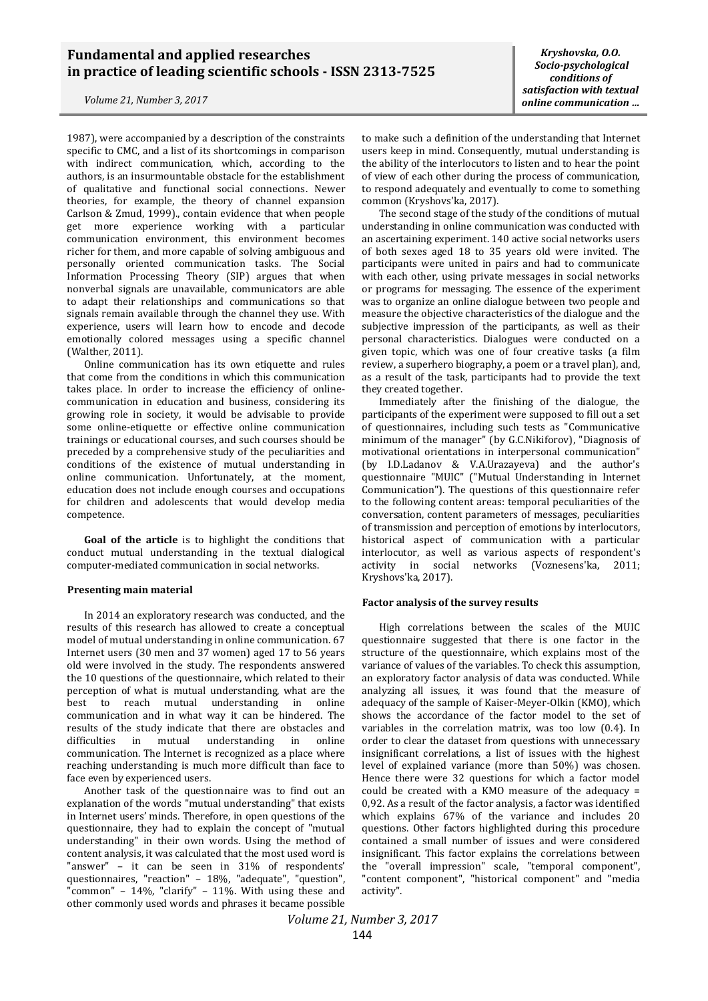## **Fundamental and applied researches in practice of leading scientific schools - ISSN 2313-7525**

*Volume 21, Number 3, 2017*

1987), were accompanied by a description of the constraints specific to CMC, and a list of its shortcomings in comparison with indirect communication, which, according to the authors, is an insurmountable obstacle for the establishment of qualitative and functional social connections. Newer theories, for example, the theory of channel expansion Carlson & Zmud, 1999)., contain evidence that when people get more experience working with a particular communication environment, this environment becomes richer for them, and more capable of solving ambiguous and personally oriented communication tasks. The Social Information Processing Theory (SIP) argues that when nonverbal signals are unavailable, communicators are able to adapt their relationships and communications so that signals remain available through the channel they use. With experience, users will learn how to encode and decode emotionally colored messages using a specific channel (Walther, 2011).

Online communication has its own etiquette and rules that come from the conditions in which this communication takes place. In order to increase the efficiency of onlinecommunication in education and business, considering its growing role in society, it would be advisable to provide some online-etiquette or effective online communication trainings or educational courses, and such courses should be preceded by a comprehensive study of the peculiarities and conditions of the existence of mutual understanding in online communication. Unfortunately, at the moment, education does not include enough courses and occupations for children and adolescents that would develop media competence.

**Goal of the article** is to highlight the conditions that conduct mutual understanding in the textual dialogical computer-mediated communication in social networks.

#### **Presenting main material**

In 2014 an exploratory research was conducted, and the results of this research has allowed to create a conceptual model of mutual understanding in online communication. 67 Internet users (30 men and 37 women) aged 17 to 56 years old were involved іn the study. The respondents answered the 10 questions of the questionnaire, which related to their perception of what is mutual understanding, what are the best to reach mutual understanding in online communication and in what way it can be hindered. The results of the study indicate that there are obstacles and difficulties in mutual understanding in online communication. The Internet is recognized as a place where reaching understanding is much more difficult than face to face even by experienced users.

Another task of the questionnaire was to find out an explanation of the words "mutual understanding" that exists in Internet users' minds. Therefore, in open questions of the questionnaire, they had to explain the concept of "mutual understanding" in their own words. Using the method of content analysis, it was calculated that the most used word is "answer" – it can be seen in 31% of respondents' questionnaires, "reaction" – 18%, "adequate", "question", "common" – 14%, "clarify" – 11%. With using these and other commonly used words and phrases it became possible

*Kryshovska, O.O. Socio-psychological conditions of satisfaction with textual online communication …*

to make such a definition of the understanding that Internet users keep in mind. Consequently, mutual understanding is the ability of the interlocutors to listen and to hear the point of view of each other during the process of communication, to respond adequately and eventually to come to something common (Kryshovs'ka, 2017).

The second stage of the study of the conditions of mutual understanding in online communication was conducted with an ascertaining experiment. 140 active social networks users of both sexes aged 18 to 35 years old were invited. The participants were united in pairs and had to communicate with each other, using private messages in social networks or programs for messaging. The essence of the experiment was to organize an online dialogue between two people and measure the objective characteristics of the dialogue and the subjective impression of the participants, as well as their personal characteristics. Dialogues were conducted on a given topic, which was one of four creative tasks (a film review, a superhero biography, a poem or a travel plan), and, as a result of the task, participants had to provide the text they created together.

Immediately after the finishing of the dialogue, the participants of the experiment were supposed to fill out a set of questionnaires, including such tests as "Communicative minimum of the manager" (by G.C.Nikiforov), "Diagnosis of motivational orientations in interpersonal communication" (by I.D.Ladanov & V.A.Urazayeva) and the author's questionnaire "MUIC" ("Mutual Understanding in Internet Communication"). The questions of this questionnaire refer to the following content areas: temporal peculiarities of the conversation, content parameters of messages, peculiarities of transmission and perception of emotions by interlocutors, historical aspect of communication with a particular interlocutor, as well as various aspects of respondent's activity in social networks (Voznesens'ka, 2011; Kryshovs'ka, 2017).

#### **Factor analysis of the survey results**

High correlations between the scales of the MUIC questionnaire suggested that there is one factor in the structure of the questionnaire, which explains most of the variance of values of the variables. To check this assumption, an exploratory factor analysis of data was conducted. While analyzing all issues, it was found that the measure of adequacy of the sample of Kaiser-Meyer-Olkin (KMO), which shows the accordance of the factor model to the set of variables in the correlation matrix, was too low (0.4). In order to clear the dataset from questions with unnecessary insignificant correlations, a list of issues with the highest level of explained variance (more than 50%) was chosen. Hence there were 32 questions for which a factor model could be created with a KMO measure of the adequacy  $=$ 0,92. As a result of the factor analysis, a factor was identified which explains 67% of the variance and includes 20 questions. Other factors highlighted during this procedure contained a small number of issues and were considered insignificant. This factor explains the correlations between the "overall impression" scale, "temporal component", "content component", "historical component" and "media activity".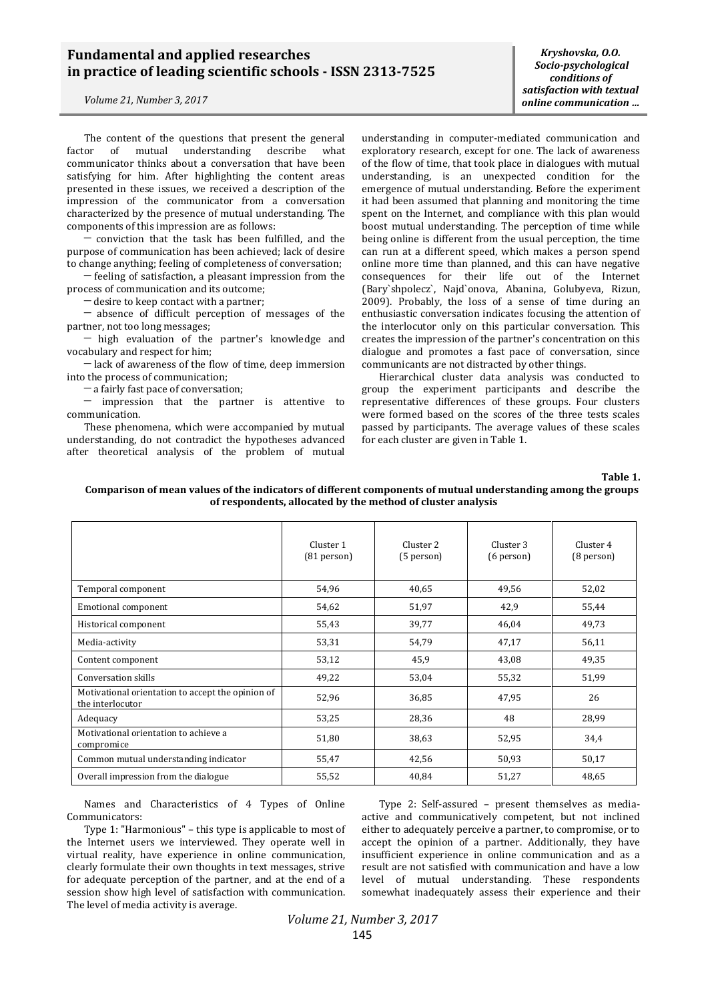## **Fundamental and applied researches in practice of leading scientific schools - ISSN 2313-7525**

*Volume 21, Number 3, 2017*

The content of the questions that present the general factor of mutual understanding describe what communicator thinks about a conversation that have been satisfying for him. After highlighting the content areas presented in these issues, we received a description of the impression of the communicator from a conversation characterized by the presence of mutual understanding. The components of this impression are as follows:

─ conviction that the task has been fulfilled, and the purpose of communication has been achieved; lack of desire to change anything; feeling of completeness of conversation;

─ feeling of satisfaction, a pleasant impression from the process of communication and its outcome;

─ desire to keep contact with a partner;

─ absence of difficult perception of messages of the partner, not too long messages;

─ high evaluation of the partner's knowledge and vocabulary and respect for him;

─ lack of awareness of the flow of time, deep immersion into the process of communication;

─ a fairly fast pace of conversation;

─ impression that the partner is attentive to communication.

These phenomena, which were accompanied by mutual understanding, do not contradict the hypotheses advanced after theoretical analysis of the problem of mutual

*Kryshovska, O.O. Socio-psychological conditions of satisfaction with textual online communication …*

understanding in computer-mediated communication and exploratory research, except for one. The lack of awareness of the flow of time, that took place in dialogues with mutual understanding, is an unexpected condition for the emergence of mutual understanding. Before the experiment it had been assumed that planning and monitoring the time spent on the Internet, and compliance with this plan would boost mutual understanding. The perception of time while being online is different from the usual perception, the time can run at a different speed, which makes a person spend online more time than planned, and this can have negative consequences for their life out of the Internet (Bary`shpolecz`, Najd`onova, Abanina, Golubyeva, Rizun, 2009). Probably, the loss of a sense of time during an enthusiastic conversation indicates focusing the attention of the interlocutor only on this particular conversation. This creates the impression of the partner's concentration on this dialogue and promotes a fast pace of conversation, since communicants are not distracted by other things.

Hierarchical cluster data analysis was conducted to group the experiment participants and describe the representative differences of these groups. Four clusters were formed based on the scores of the three tests scales passed by participants. The average values of these scales for each cluster are given in Table 1.

**Table 1.** 

|                                                                       | Cluster 1<br>$(81$ person $)$ | Cluster <sub>2</sub><br>(5 person) | Cluster 3<br>$(6$ person $)$ | Cluster 4<br>$(8$ person $)$ |
|-----------------------------------------------------------------------|-------------------------------|------------------------------------|------------------------------|------------------------------|
| Temporal component                                                    | 54,96                         | 40,65                              | 49,56                        | 52,02                        |
| <b>Emotional component</b>                                            | 54,62                         | 51,97                              | 42,9                         | 55,44                        |
| Historical component                                                  | 55,43                         | 39,77                              | 46,04                        | 49,73                        |
| Media-activity                                                        | 53,31                         | 54,79                              | 47,17                        | 56,11                        |
| Content component                                                     | 53,12                         | 45,9                               | 43,08                        | 49,35                        |
| Conversation skills                                                   | 49,22                         | 53,04                              | 55,32                        | 51,99                        |
| Motivational orientation to accept the opinion of<br>the interlocutor | 52,96                         | 36,85                              | 47,95                        | 26                           |
| Adequacy                                                              | 53,25                         | 28,36                              | 48                           | 28,99                        |
| Motivational orientation to achieve a<br>compromice                   | 51,80                         | 38,63                              | 52,95                        | 34,4                         |
| Common mutual understanding indicator                                 | 55,47                         | 42,56                              | 50,93                        | 50,17                        |
| Overall impression from the dialogue                                  | 55,52                         | 40,84                              | 51,27                        | 48,65                        |

**Comparison of mean values of the indicators of different components of mutual understanding among the groups of respondents, allocated by the method of cluster analysis**

Names and Characteristics of 4 Types of Online Communicators:

Type 1: "Harmonious" – this type is applicable to most of the Internet users we interviewed. They operate well in virtual reality, have experience in online communication, clearly formulate their own thoughts in text messages, strive for adequate perception of the partner, and at the end of a session show high level of satisfaction with communication. The level of media activity is average.

Type 2: Self-assured – present themselves as mediaactive and communicatively competent, but not inclined either to adequately perceive a partner, to compromise, or to accept the opinion of a partner. Additionally, they have insufficient experience in online communication and as a result are not satisfied with communication and have a low level of mutual understanding. These respondents somewhat inadequately assess their experience and their